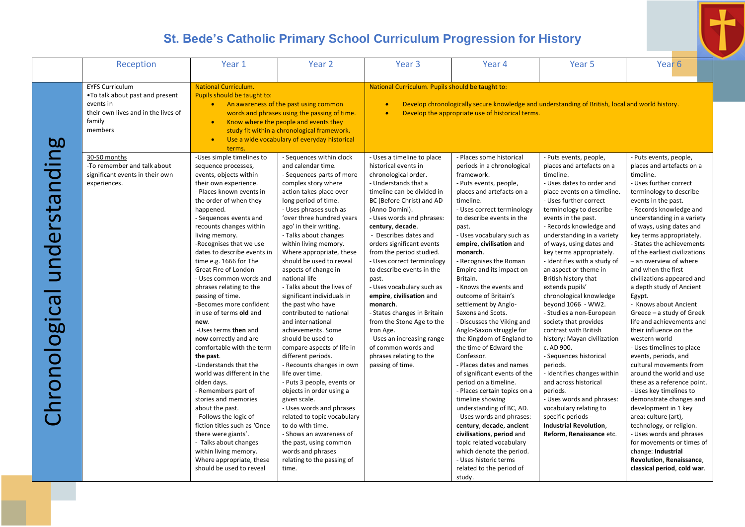|                                | Reception                                                                                                                           | Year 1                                                                                                                                                                                                                                                                                                                                                                                                                                                                                                                                                                                                                                                                                                                                                                                                                                                                                                                          | Year <sub>2</sub>                                                                                                                                                                                                                                                                                                                                                                                                                                                                                                                                                                                                                                                                                                                                                                                                                                                                                                                                   | Year <sub>3</sub>                                                                                                                                                                                                                                                                                                                                                                                                                                                                                                                                                                                                                        | Year 4                                                                                                                                                                                                                                                                                                                                                                                                                                                                                                                                                                                                                                                                                                                                                                                                                                                                                                                                                              | Year 5                                                                                                                                                                                                                                                                                                                                                                                                                                                                                                                                                                                                                                                                                                                                                                                                                                                 | Year <sub>6</sub>                                                                                                                                                                                                                                                                                                                                                                                                                                                                                                                                                                                                                                                                                                                                                                                                                                                                                                                                                                                    |
|--------------------------------|-------------------------------------------------------------------------------------------------------------------------------------|---------------------------------------------------------------------------------------------------------------------------------------------------------------------------------------------------------------------------------------------------------------------------------------------------------------------------------------------------------------------------------------------------------------------------------------------------------------------------------------------------------------------------------------------------------------------------------------------------------------------------------------------------------------------------------------------------------------------------------------------------------------------------------------------------------------------------------------------------------------------------------------------------------------------------------|-----------------------------------------------------------------------------------------------------------------------------------------------------------------------------------------------------------------------------------------------------------------------------------------------------------------------------------------------------------------------------------------------------------------------------------------------------------------------------------------------------------------------------------------------------------------------------------------------------------------------------------------------------------------------------------------------------------------------------------------------------------------------------------------------------------------------------------------------------------------------------------------------------------------------------------------------------|------------------------------------------------------------------------------------------------------------------------------------------------------------------------------------------------------------------------------------------------------------------------------------------------------------------------------------------------------------------------------------------------------------------------------------------------------------------------------------------------------------------------------------------------------------------------------------------------------------------------------------------|---------------------------------------------------------------------------------------------------------------------------------------------------------------------------------------------------------------------------------------------------------------------------------------------------------------------------------------------------------------------------------------------------------------------------------------------------------------------------------------------------------------------------------------------------------------------------------------------------------------------------------------------------------------------------------------------------------------------------------------------------------------------------------------------------------------------------------------------------------------------------------------------------------------------------------------------------------------------|--------------------------------------------------------------------------------------------------------------------------------------------------------------------------------------------------------------------------------------------------------------------------------------------------------------------------------------------------------------------------------------------------------------------------------------------------------------------------------------------------------------------------------------------------------------------------------------------------------------------------------------------------------------------------------------------------------------------------------------------------------------------------------------------------------------------------------------------------------|------------------------------------------------------------------------------------------------------------------------------------------------------------------------------------------------------------------------------------------------------------------------------------------------------------------------------------------------------------------------------------------------------------------------------------------------------------------------------------------------------------------------------------------------------------------------------------------------------------------------------------------------------------------------------------------------------------------------------------------------------------------------------------------------------------------------------------------------------------------------------------------------------------------------------------------------------------------------------------------------------|
|                                | <b>EYFS Curriculum</b><br>. To talk about past and present<br>events in<br>their own lives and in the lives of<br>family<br>members | <b>National Curriculum.</b><br>Pupils should be taught to:<br>$\bullet$<br>$\bullet$<br>$\bullet$<br>terms.                                                                                                                                                                                                                                                                                                                                                                                                                                                                                                                                                                                                                                                                                                                                                                                                                     | An awareness of the past using common<br>words and phrases using the passing of time.<br>Know where the people and events they<br>study fit within a chronological framework.<br>Use a wide vocabulary of everyday historical                                                                                                                                                                                                                                                                                                                                                                                                                                                                                                                                                                                                                                                                                                                       | National Curriculum. Pupils should be taught to:<br>$\bullet$                                                                                                                                                                                                                                                                                                                                                                                                                                                                                                                                                                            | Develop chronologically secure knowledge and understanding of British, local and world history.<br>Develop the appropriate use of historical terms.                                                                                                                                                                                                                                                                                                                                                                                                                                                                                                                                                                                                                                                                                                                                                                                                                 |                                                                                                                                                                                                                                                                                                                                                                                                                                                                                                                                                                                                                                                                                                                                                                                                                                                        |                                                                                                                                                                                                                                                                                                                                                                                                                                                                                                                                                                                                                                                                                                                                                                                                                                                                                                                                                                                                      |
| understanding<br>Chronological | 30-50 months<br>-To remember and talk about<br>significant events in their own<br>experiences.                                      | -Uses simple timelines to<br>sequence processes,<br>events, objects within<br>their own experience.<br>- Places known events in<br>the order of when they<br>happened.<br>- Sequences events and<br>recounts changes within<br>living memory.<br>-Recognises that we use<br>dates to describe events in<br>time e.g. 1666 for The<br>Great Fire of London<br>- Uses common words and<br>phrases relating to the<br>passing of time.<br>-Becomes more confident<br>in use of terms old and<br>new.<br>-Uses terms then and<br>now correctly and are<br>comfortable with the term<br>the past.<br>-Understands that the<br>world was different in the<br>olden days.<br>- Remembers part of<br>stories and memories<br>about the past.<br>- Follows the logic of<br>fiction titles such as 'Once<br>there were giants'.<br>- Talks about changes<br>within living memory.<br>Where appropriate, these<br>should be used to reveal | - Sequences within clock<br>and calendar time.<br>- Sequences parts of more<br>complex story where<br>action takes place over<br>long period of time.<br>- Uses phrases such as<br>'over three hundred years<br>ago' in their writing.<br>- Talks about changes<br>within living memory.<br>Where appropriate, these<br>should be used to reveal<br>aspects of change in<br>national life<br>- Talks about the lives of<br>significant individuals in<br>the past who have<br>contributed to national<br>and international<br>achievements. Some<br>should be used to<br>compare aspects of life in<br>different periods.<br>- Recounts changes in own<br>life over time.<br>- Puts 3 people, events or<br>objects in order using a<br>given scale.<br>- Uses words and phrases<br>related to topic vocabulary<br>to do with time.<br>- Shows an awareness of<br>the past, using common<br>words and phrases<br>relating to the passing of<br>time. | - Uses a timeline to place<br>historical events in<br>chronological order.<br>- Understands that a<br>timeline can be divided in<br>BC (Before Christ) and AD<br>(Anno Domini).<br>- Uses words and phrases:<br>century, decade.<br>- Describes dates and<br>orders significant events<br>from the period studied.<br>- Uses correct terminology<br>to describe events in the<br>past.<br>- Uses vocabulary such as<br>empire, civilisation and<br>monarch.<br>- States changes in Britain<br>from the Stone Age to the<br>Iron Age.<br>- Uses an increasing range<br>of common words and<br>phrases relating to the<br>passing of time. | - Places some historical<br>periods in a chronological<br>framework.<br>- Puts events, people,<br>places and artefacts on a<br>timeline.<br>- Uses correct terminology<br>to describe events in the<br>past.<br>- Uses vocabulary such as<br>empire, civilisation and<br>monarch.<br>- Recognises the Roman<br>Empire and its impact on<br>Britain.<br>- Knows the events and<br>outcome of Britain's<br>settlement by Anglo-<br>Saxons and Scots.<br>- Discusses the Viking and<br>Anglo-Saxon struggle for<br>the Kingdom of England to<br>the time of Edward the<br>Confessor.<br>- Places dates and names<br>of significant events of the<br>period on a timeline.<br>- Places certain topics on a<br>timeline showing<br>understanding of BC, AD.<br>- Uses words and phrases:<br>century, decade, ancient<br>civilisations, period and<br>topic related vocabulary<br>which denote the period.<br>- Uses historic terms<br>related to the period of<br>study. | - Puts events, people,<br>places and artefacts on a<br>timeline.<br>- Uses dates to order and<br>place events on a timeline.<br>- Uses further correct<br>terminology to describe<br>events in the past.<br>- Records knowledge and<br>understanding in a variety<br>of ways, using dates and<br>key terms appropriately.<br>- Identifies with a study of<br>an aspect or theme in<br>British history that<br>extends pupils'<br>chronological knowledge<br>beyond 1066 - WW2.<br>- Studies a non-European<br>society that provides<br>contrast with British<br>history: Mayan civilization<br>c. AD 900.<br>- Sequences historical<br>periods.<br>- Identifies changes within<br>and across historical<br>periods.<br>- Uses words and phrases:<br>vocabulary relating to<br>specific periods -<br>Industrial Revolution,<br>Reform, Renaissance etc. | - Puts events, people,<br>places and artefacts on a<br>timeline.<br>- Uses further correct<br>terminology to describe<br>events in the past.<br>- Records knowledge and<br>understanding in a variety<br>of ways, using dates and<br>key terms appropriately.<br>- States the achievements<br>of the earliest civilizations<br>- an overview of where<br>and when the first<br>civilizations appeared and<br>a depth study of Ancient<br>Egypt.<br>- Knows about Ancient<br>Greece - a study of Greek<br>life and achievements and<br>their influence on the<br>western world<br>- Uses timelines to place<br>events, periods, and<br>cultural movements from<br>around the world and use<br>these as a reference point.<br>- Uses key timelines to<br>demonstrate changes and<br>development in 1 key<br>area: culture (art),<br>technology, or religion.<br>- Uses words and phrases<br>for movements or times of<br>change: Industrial<br>Revolution, Renaissance,<br>classical period, cold war. |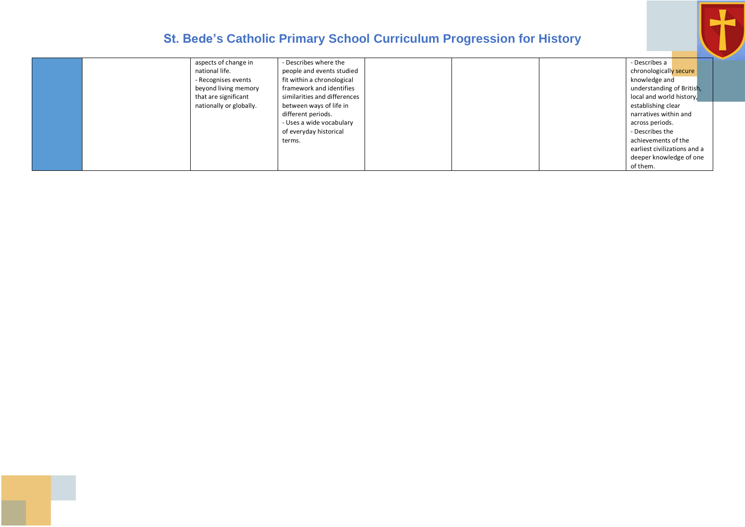

|                         | - Describes where the        | - Describes a                |  |
|-------------------------|------------------------------|------------------------------|--|
| aspects of change in    |                              |                              |  |
| national life.          | people and events studied    | chronologically secure       |  |
| - Recognises events     | fit within a chronological   | knowledge and                |  |
| beyond living memory    | framework and identifies     | understanding of British,    |  |
| that are significant    | similarities and differences | local and world history,     |  |
| nationally or globally. | between ways of life in      | establishing clear           |  |
|                         | different periods.           | narratives within and        |  |
|                         | - Uses a wide vocabulary     | across periods.              |  |
|                         | of everyday historical       | - Describes the              |  |
|                         | terms.                       | achievements of the          |  |
|                         |                              | earliest civilizations and a |  |
|                         |                              | deeper knowledge of one      |  |
|                         |                              | of them.                     |  |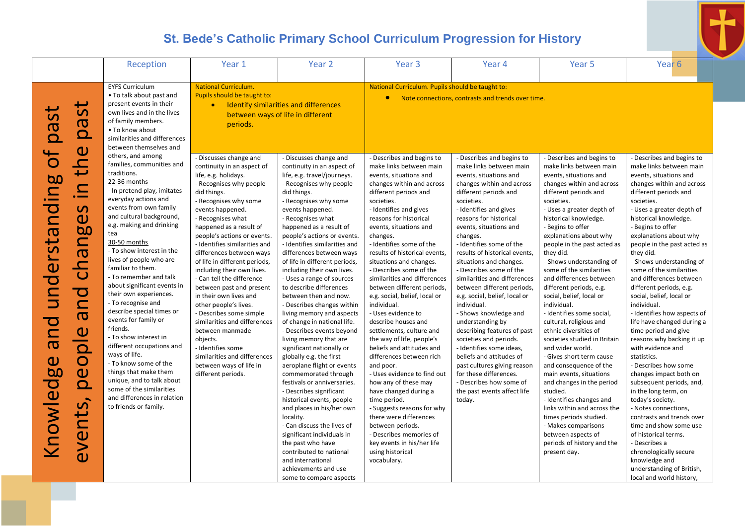| Reception                                                                                                                                                                                                                                                                                                                                                                                                                                                                                                                                                                                                                                                                                                                                                                                                                                                                                                                                                                                                                                                                                                                                                                                                                                            | Year 1                                                                                                                                                                                                                                                                                                                                                                                                                                                                                                                                                                                                                                                                                     | Year 2                                                                                                                                                                                                                                                                                                                                                                                                                                                                                                                                                                                                                                                                                                                                                                                                                                                                                                                                                                                                                                                     | Year <sub>3</sub>                                                                                                                                                                                                                                                                                                                                                                                                                                                                                                                                                                                                                                                                                                                                                                                                                                                                                                                 | Year 4                                                                                                                                                                                                                                                                                                                                                                                                                                                                                                                                                                                                                                                                                                                                                                   | Year <sub>5</sub>                                                                                                                                                                                                                                                                                                                                                                                                                                                                                                                                                                                                                                                                                                                                                                                                                                                                                           | Year <sub>6</sub>                                                                                                                                                                                                                                                                                                                                                                                                                                                                                                                                                                                                                                                                                                                                                                                                                                                                                                                                                      |
|------------------------------------------------------------------------------------------------------------------------------------------------------------------------------------------------------------------------------------------------------------------------------------------------------------------------------------------------------------------------------------------------------------------------------------------------------------------------------------------------------------------------------------------------------------------------------------------------------------------------------------------------------------------------------------------------------------------------------------------------------------------------------------------------------------------------------------------------------------------------------------------------------------------------------------------------------------------------------------------------------------------------------------------------------------------------------------------------------------------------------------------------------------------------------------------------------------------------------------------------------|--------------------------------------------------------------------------------------------------------------------------------------------------------------------------------------------------------------------------------------------------------------------------------------------------------------------------------------------------------------------------------------------------------------------------------------------------------------------------------------------------------------------------------------------------------------------------------------------------------------------------------------------------------------------------------------------|------------------------------------------------------------------------------------------------------------------------------------------------------------------------------------------------------------------------------------------------------------------------------------------------------------------------------------------------------------------------------------------------------------------------------------------------------------------------------------------------------------------------------------------------------------------------------------------------------------------------------------------------------------------------------------------------------------------------------------------------------------------------------------------------------------------------------------------------------------------------------------------------------------------------------------------------------------------------------------------------------------------------------------------------------------|-----------------------------------------------------------------------------------------------------------------------------------------------------------------------------------------------------------------------------------------------------------------------------------------------------------------------------------------------------------------------------------------------------------------------------------------------------------------------------------------------------------------------------------------------------------------------------------------------------------------------------------------------------------------------------------------------------------------------------------------------------------------------------------------------------------------------------------------------------------------------------------------------------------------------------------|--------------------------------------------------------------------------------------------------------------------------------------------------------------------------------------------------------------------------------------------------------------------------------------------------------------------------------------------------------------------------------------------------------------------------------------------------------------------------------------------------------------------------------------------------------------------------------------------------------------------------------------------------------------------------------------------------------------------------------------------------------------------------|-------------------------------------------------------------------------------------------------------------------------------------------------------------------------------------------------------------------------------------------------------------------------------------------------------------------------------------------------------------------------------------------------------------------------------------------------------------------------------------------------------------------------------------------------------------------------------------------------------------------------------------------------------------------------------------------------------------------------------------------------------------------------------------------------------------------------------------------------------------------------------------------------------------|------------------------------------------------------------------------------------------------------------------------------------------------------------------------------------------------------------------------------------------------------------------------------------------------------------------------------------------------------------------------------------------------------------------------------------------------------------------------------------------------------------------------------------------------------------------------------------------------------------------------------------------------------------------------------------------------------------------------------------------------------------------------------------------------------------------------------------------------------------------------------------------------------------------------------------------------------------------------|
| <b>EYFS Curriculum</b>                                                                                                                                                                                                                                                                                                                                                                                                                                                                                                                                                                                                                                                                                                                                                                                                                                                                                                                                                                                                                                                                                                                                                                                                                               | <b>National Curriculum.</b>                                                                                                                                                                                                                                                                                                                                                                                                                                                                                                                                                                                                                                                                |                                                                                                                                                                                                                                                                                                                                                                                                                                                                                                                                                                                                                                                                                                                                                                                                                                                                                                                                                                                                                                                            | National Curriculum. Pupils should be taught to:                                                                                                                                                                                                                                                                                                                                                                                                                                                                                                                                                                                                                                                                                                                                                                                                                                                                                  |                                                                                                                                                                                                                                                                                                                                                                                                                                                                                                                                                                                                                                                                                                                                                                          |                                                                                                                                                                                                                                                                                                                                                                                                                                                                                                                                                                                                                                                                                                                                                                                                                                                                                                             |                                                                                                                                                                                                                                                                                                                                                                                                                                                                                                                                                                                                                                                                                                                                                                                                                                                                                                                                                                        |
| • To talk about past and<br>present events in their<br>ى<br>$\overline{5}$<br>$\mathbf{\dot{o}}$<br>own lives and in the lives<br>of family members.<br><b>BQ</b><br><b>DQ</b><br>• To know about<br>similarities and differences<br>between themselves and<br>$\mathbf{\Omega}$                                                                                                                                                                                                                                                                                                                                                                                                                                                                                                                                                                                                                                                                                                                                                                                                                                                                                                                                                                     | Pupils should be taught to:<br>$\bullet$<br>periods.                                                                                                                                                                                                                                                                                                                                                                                                                                                                                                                                                                                                                                       | Identify similarities and differences<br>between ways of life in different                                                                                                                                                                                                                                                                                                                                                                                                                                                                                                                                                                                                                                                                                                                                                                                                                                                                                                                                                                                 | $\bullet$                                                                                                                                                                                                                                                                                                                                                                                                                                                                                                                                                                                                                                                                                                                                                                                                                                                                                                                         | Note connections, contrasts and trends over time.                                                                                                                                                                                                                                                                                                                                                                                                                                                                                                                                                                                                                                                                                                                        |                                                                                                                                                                                                                                                                                                                                                                                                                                                                                                                                                                                                                                                                                                                                                                                                                                                                                                             |                                                                                                                                                                                                                                                                                                                                                                                                                                                                                                                                                                                                                                                                                                                                                                                                                                                                                                                                                                        |
| others, and among<br>$\overline{O}$<br>$\mathbf{L}$<br>families, communities and<br>$\overline{\phantom{0}}$<br>traditions.<br><b>bo</b><br>22-36 months<br>$\mathbf{\Omega}$<br>- In pretend play, imitates<br>$\cdot$ $\hspace{0.05cm}-$<br>everyday actions and<br>$\overline{\mathbf{C}}$<br>events from own family<br>$\Omega$<br>and cultural background,<br>$\mathbf{\Omega}$<br>$\mathbf{\Omega}$<br>e.g. making and drinking<br>60<br>understa<br>tea<br>chang<br>30-50 months<br>- To show interest in the<br>lives of people who are<br>familiar to them.<br>- To remember and talk<br>about significant events in<br>$\overline{\mathbf{C}}$<br>their own experiences.<br>$\mathbf{\Omega}$<br>- To recognise and<br>describe special times or<br>$\boldsymbol{\sigma}$<br>$\overline{\mathbf{C}}$<br>events for family or<br>friends.<br>$\mathbf 0$<br>- To show interest in<br>—<br>$\boldsymbol{\sigma}$<br>$\Omega$<br>different occupations and<br>ways of life.<br>$\overline{O}$<br>$\mathbf 0$<br>- To know some of the<br><b>bo</b><br>$\mathbf 0$<br>things that make them<br>unique, and to talk about<br>Knowled<br>$\Omega$<br>some of the similarities<br>and differences in relation<br>events,<br>to friends or family. | - Discusses change and<br>continuity in an aspect of<br>life, e.g. holidays.<br>- Recognises why people<br>did things.<br>- Recognises why some<br>events happened.<br>- Recognises what<br>happened as a result of<br>people's actions or events.<br>- Identifies similarities and<br>differences between ways<br>of life in different periods,<br>including their own lives.<br>- Can tell the difference<br>between past and present<br>in their own lives and<br>other people's lives.<br>- Describes some simple<br>similarities and differences<br>between manmade<br>objects.<br>- Identifies some<br>similarities and differences<br>between ways of life in<br>different periods. | - Discusses change and<br>continuity in an aspect of<br>life, e.g. travel/journeys.<br>- Recognises why people<br>did things.<br>- Recognises why some<br>events happened.<br>- Recognises what<br>happened as a result of<br>people's actions or events.<br>- Identifies similarities and<br>differences between ways<br>of life in different periods,<br>including their own lives.<br>- Uses a range of sources<br>to describe differences<br>between then and now.<br>- Describes changes within<br>living memory and aspects<br>of change in national life.<br>- Describes events beyond<br>living memory that are<br>significant nationally or<br>globally e.g. the first<br>aeroplane flight or events<br>commemorated through<br>festivals or anniversaries.<br>- Describes significant<br>historical events, people<br>and places in his/her own<br>locality.<br>- Can discuss the lives of<br>significant individuals in<br>the past who have<br>contributed to national<br>and international<br>achievements and use<br>some to compare aspects | - Describes and begins to<br>make links between main<br>events, situations and<br>changes within and across<br>different periods and<br>societies.<br>- Identifies and gives<br>reasons for historical<br>events, situations and<br>changes.<br>- Identifies some of the<br>results of historical events,<br>situations and changes.<br>- Describes some of the<br>similarities and differences<br>between different periods,<br>e.g. social, belief, local or<br>individual.<br>- Uses evidence to<br>describe houses and<br>settlements, culture and<br>the way of life, people's<br>beliefs and attitudes and<br>differences between rich<br>and poor.<br>- Uses evidence to find out<br>how any of these may<br>have changed during a<br>time period.<br>- Suggests reasons for why<br>there were differences<br>between periods.<br>- Describes memories of<br>key events in his/her life<br>using historical<br>vocabulary. | - Describes and begins to<br>make links between main<br>events, situations and<br>changes within and across<br>different periods and<br>societies.<br>- Identifies and gives<br>reasons for historical<br>events, situations and<br>changes.<br>- Identifies some of the<br>results of historical events,<br>situations and changes.<br>- Describes some of the<br>similarities and differences<br>between different periods,<br>e.g. social, belief, local or<br>individual.<br>- Shows knowledge and<br>understanding by<br>describing features of past<br>societies and periods.<br>- Identifies some ideas,<br>beliefs and attitudes of<br>past cultures giving reason<br>for these differences.<br>- Describes how some of<br>the past events affect life<br>today. | - Describes and begins to<br>make links between main<br>events, situations and<br>changes within and across<br>different periods and<br>societies.<br>- Uses a greater depth of<br>historical knowledge.<br>- Begins to offer<br>explanations about why<br>people in the past acted as<br>they did.<br>- Shows understanding of<br>some of the similarities<br>and differences between<br>different periods, e.g.<br>social, belief, local or<br>individual.<br>- Identifies some social,<br>cultural, religious and<br>ethnic diversities of<br>societies studied in Britain<br>and wider world.<br>- Gives short term cause<br>and consequence of the<br>main events, situations<br>and changes in the period<br>studied.<br>- Identifies changes and<br>links within and across the<br>times periods studied.<br>- Makes comparisons<br>between aspects of<br>periods of history and the<br>present day. | Describes and begins to<br>make links between main<br>events, situations and<br>changes within and across<br>different periods and<br>societies.<br>- Uses a greater depth of<br>historical knowledge.<br>- Begins to offer<br>explanations about why<br>people in the past acted as<br>they did.<br>- Shows understanding of<br>some of the similarities<br>and differences between<br>different periods, e.g.<br>social, belief, local or<br>individual.<br>- Identifies how aspects of<br>life have changed during a<br>time period and give<br>reasons why backing it up<br>with evidence and<br>statistics.<br>- Describes how some<br>changes impact both on<br>subsequent periods, and,<br>in the long term, on<br>today's society.<br>- Notes connections,<br>contrasts and trends over<br>time and show some use<br>of historical terms.<br>- Describes a<br>chronologically secure<br>knowledge and<br>understanding of British,<br>local and world history, |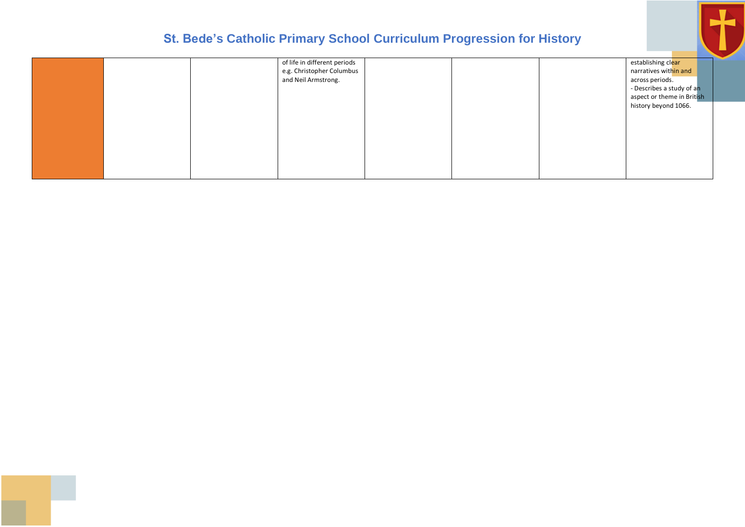

|  | of life in different periods |  | establishing clear         |
|--|------------------------------|--|----------------------------|
|  | e.g. Christopher Columbus    |  | narratives within and      |
|  | and Neil Armstrong.          |  | across periods.            |
|  |                              |  | - Describes a study of an  |
|  |                              |  | aspect or theme in British |
|  |                              |  | history beyond 1066.       |
|  |                              |  |                            |
|  |                              |  |                            |
|  |                              |  |                            |
|  |                              |  |                            |
|  |                              |  |                            |
|  |                              |  |                            |
|  |                              |  |                            |
|  |                              |  |                            |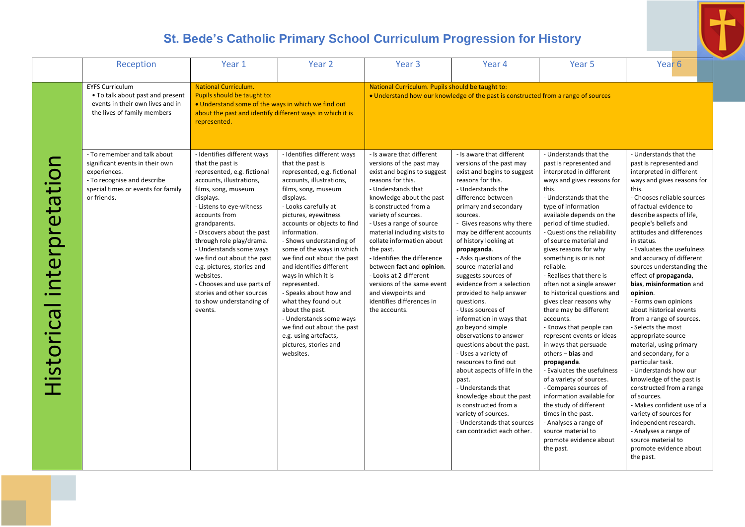|                           | Reception                                                                                                                                                           | Year 1                                                                                                                                                                                                                                                                                                                                                                                                                                                                       | Year <sub>2</sub>                                                                                                                                                                                                                                                                                                                                                                                                                                                                                                                                                                                   | Year <sub>3</sub>                                                                                                                                                                                                                                                                                                                                                                                                                                                                                         | Year <sub>4</sub>                                                                                                                                                                                                                                                                                                                                                                                                                                                                                                                                                                                                                                                                                                                                                                                                             | Year 5                                                                                                                                                                                                                                                                                                                                                                                                                                                                                                                                                                                                                                                                                                                                                                                                                                                                                     | Year <sub>6</sub>                                                                                                                                                                                                                                                                                                                                                                                                                                                                                                                                                                                                                                                                                                                                                                                                                                                                                              |
|---------------------------|---------------------------------------------------------------------------------------------------------------------------------------------------------------------|------------------------------------------------------------------------------------------------------------------------------------------------------------------------------------------------------------------------------------------------------------------------------------------------------------------------------------------------------------------------------------------------------------------------------------------------------------------------------|-----------------------------------------------------------------------------------------------------------------------------------------------------------------------------------------------------------------------------------------------------------------------------------------------------------------------------------------------------------------------------------------------------------------------------------------------------------------------------------------------------------------------------------------------------------------------------------------------------|-----------------------------------------------------------------------------------------------------------------------------------------------------------------------------------------------------------------------------------------------------------------------------------------------------------------------------------------------------------------------------------------------------------------------------------------------------------------------------------------------------------|-------------------------------------------------------------------------------------------------------------------------------------------------------------------------------------------------------------------------------------------------------------------------------------------------------------------------------------------------------------------------------------------------------------------------------------------------------------------------------------------------------------------------------------------------------------------------------------------------------------------------------------------------------------------------------------------------------------------------------------------------------------------------------------------------------------------------------|--------------------------------------------------------------------------------------------------------------------------------------------------------------------------------------------------------------------------------------------------------------------------------------------------------------------------------------------------------------------------------------------------------------------------------------------------------------------------------------------------------------------------------------------------------------------------------------------------------------------------------------------------------------------------------------------------------------------------------------------------------------------------------------------------------------------------------------------------------------------------------------------|----------------------------------------------------------------------------------------------------------------------------------------------------------------------------------------------------------------------------------------------------------------------------------------------------------------------------------------------------------------------------------------------------------------------------------------------------------------------------------------------------------------------------------------------------------------------------------------------------------------------------------------------------------------------------------------------------------------------------------------------------------------------------------------------------------------------------------------------------------------------------------------------------------------|
|                           | <b>EYFS Curriculum</b><br>• To talk about past and present<br>events in their own lives and in<br>the lives of family members                                       | <b>National Curriculum.</b><br>Pupils should be taught to:<br>. Understand some of the ways in which we find out<br>about the past and identify different ways in which it is<br>represented.                                                                                                                                                                                                                                                                                |                                                                                                                                                                                                                                                                                                                                                                                                                                                                                                                                                                                                     | National Curriculum. Pupils should be taught to:                                                                                                                                                                                                                                                                                                                                                                                                                                                          | • Understand how our knowledge of the past is constructed from a range of sources                                                                                                                                                                                                                                                                                                                                                                                                                                                                                                                                                                                                                                                                                                                                             |                                                                                                                                                                                                                                                                                                                                                                                                                                                                                                                                                                                                                                                                                                                                                                                                                                                                                            |                                                                                                                                                                                                                                                                                                                                                                                                                                                                                                                                                                                                                                                                                                                                                                                                                                                                                                                |
| Historical interpretation | - To remember and talk about<br>significant events in their own<br>experiences.<br>- To recognise and describe<br>special times or events for family<br>or friends. | - Identifies different ways<br>that the past is<br>represented, e.g. fictional<br>accounts, illustrations,<br>films, song, museum<br>displays.<br>- Listens to eye-witness<br>accounts from<br>grandparents.<br>- Discovers about the past<br>through role play/drama.<br>- Understands some ways<br>we find out about the past<br>e.g. pictures, stories and<br>websites.<br>- Chooses and use parts of<br>stories and other sources<br>to show understanding of<br>events. | - Identifies different ways<br>that the past is<br>represented, e.g. fictional<br>accounts, illustrations,<br>films, song, museum<br>displays.<br>- Looks carefully at<br>pictures, eyewitness<br>accounts or objects to find<br>information.<br>- Shows understanding of<br>some of the ways in which<br>we find out about the past<br>and identifies different<br>ways in which it is<br>represented.<br>- Speaks about how and<br>what they found out<br>about the past.<br>- Understands some ways<br>we find out about the past<br>e.g. using artefacts,<br>pictures, stories and<br>websites. | - Is aware that different<br>versions of the past may<br>exist and begins to suggest<br>reasons for this.<br>- Understands that<br>knowledge about the past<br>is constructed from a<br>variety of sources.<br>- Uses a range of source<br>material including visits to<br>collate information about<br>the past.<br>- Identifies the difference<br>between fact and opinion.<br>- Looks at 2 different<br>versions of the same event<br>and viewpoints and<br>identifies differences in<br>the accounts. | - Is aware that different<br>versions of the past may<br>exist and begins to suggest<br>reasons for this.<br>- Understands the<br>difference between<br>primary and secondary<br>sources.<br>- Gives reasons why there<br>may be different accounts<br>of history looking at<br>propaganda.<br>- Asks questions of the<br>source material and<br>suggests sources of<br>evidence from a selection<br>provided to help answer<br>questions.<br>- Uses sources of<br>information in ways that<br>go beyond simple<br>observations to answer<br>questions about the past.<br>- Uses a variety of<br>resources to find out<br>about aspects of life in the<br>past.<br>- Understands that<br>knowledge about the past<br>is constructed from a<br>variety of sources.<br>- Understands that sources<br>can contradict each other. | - Understands that the<br>past is represented and<br>interpreted in different<br>ways and gives reasons for<br>this.<br>- Understands that the<br>type of information<br>available depends on the<br>period of time studied.<br>- Questions the reliability<br>of source material and<br>gives reasons for why<br>something is or is not<br>reliable.<br>- Realises that there is<br>often not a single answer<br>to historical questions and<br>gives clear reasons why<br>there may be different<br>accounts.<br>- Knows that people can<br>represent events or ideas<br>in ways that persuade<br>others - bias and<br>propaganda.<br>- Evaluates the usefulness<br>of a variety of sources.<br>- Compares sources of<br>information available for<br>the study of different<br>times in the past.<br>- Analyses a range of<br>source material to<br>promote evidence about<br>the past. | - Understands that the<br>past is represented and<br>interpreted in different<br>ways and gives reasons for<br>this.<br>- Chooses reliable sources<br>of factual evidence to<br>describe aspects of life,<br>people's beliefs and<br>attitudes and differences<br>in status.<br>- Evaluates the usefulness<br>and accuracy of different<br>sources understanding the<br>effect of propaganda,<br>bias, misinformation and<br>opinion.<br>- Forms own opinions<br>about historical events<br>from a range of sources.<br>- Selects the most<br>appropriate source<br>material, using primary<br>and secondary, for a<br>particular task.<br>- Understands how our<br>knowledge of the past is<br>constructed from a range<br>of sources.<br>- Makes confident use of a<br>variety of sources for<br>independent research.<br>- Analyses a range of<br>source material to<br>promote evidence about<br>the past. |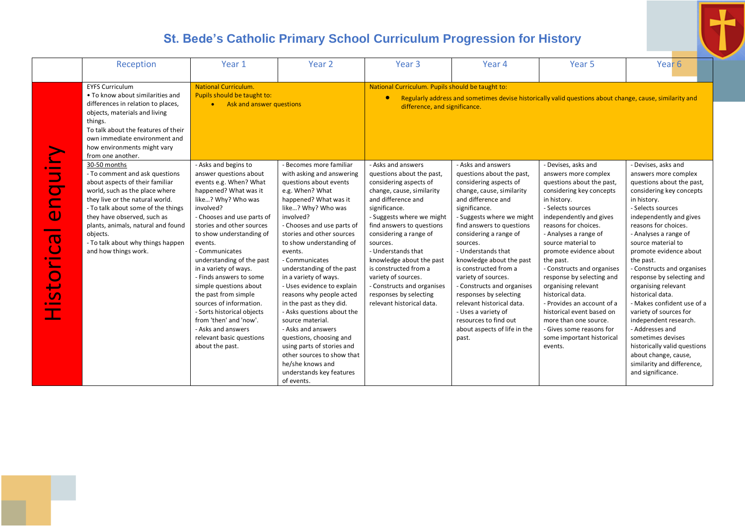|                                                                                                                                                     | Reception                                                                                                                                                                                                                                                                                                                                  | Year 1                                                                                                                                                                                                                                                                                                                                                                                                                                                                                                                                              | Year <sub>2</sub>                                                                                                                                                                                                                                                                                                                                                                                                                                                                                                                                                                                                                                          | Year <sub>3</sub>                                                                                                                                                                                                                                                                                                                                                                                                                    | Year <sub>4</sub>                                                                                                                                                                                                                                                                                                                                                                                                                                                                                                             | Year <sub>5</sub>                                                                                                                                                                                                                                                                                                                                                                                                                                                                                                                               | Year <sub>6</sub>                                                                                                                                                                                                                                                                                                                                                                                                                                                                                                                                                                                                           |
|-----------------------------------------------------------------------------------------------------------------------------------------------------|--------------------------------------------------------------------------------------------------------------------------------------------------------------------------------------------------------------------------------------------------------------------------------------------------------------------------------------------|-----------------------------------------------------------------------------------------------------------------------------------------------------------------------------------------------------------------------------------------------------------------------------------------------------------------------------------------------------------------------------------------------------------------------------------------------------------------------------------------------------------------------------------------------------|------------------------------------------------------------------------------------------------------------------------------------------------------------------------------------------------------------------------------------------------------------------------------------------------------------------------------------------------------------------------------------------------------------------------------------------------------------------------------------------------------------------------------------------------------------------------------------------------------------------------------------------------------------|--------------------------------------------------------------------------------------------------------------------------------------------------------------------------------------------------------------------------------------------------------------------------------------------------------------------------------------------------------------------------------------------------------------------------------------|-------------------------------------------------------------------------------------------------------------------------------------------------------------------------------------------------------------------------------------------------------------------------------------------------------------------------------------------------------------------------------------------------------------------------------------------------------------------------------------------------------------------------------|-------------------------------------------------------------------------------------------------------------------------------------------------------------------------------------------------------------------------------------------------------------------------------------------------------------------------------------------------------------------------------------------------------------------------------------------------------------------------------------------------------------------------------------------------|-----------------------------------------------------------------------------------------------------------------------------------------------------------------------------------------------------------------------------------------------------------------------------------------------------------------------------------------------------------------------------------------------------------------------------------------------------------------------------------------------------------------------------------------------------------------------------------------------------------------------------|
|                                                                                                                                                     | <b>EYFS Curriculum</b><br>• To know about similarities and<br>differences in relation to places,<br>objects, materials and living<br>things.<br>To talk about the features of their<br>own immediate environment and<br>how environments might vary<br>from one another.                                                                   | <b>National Curriculum.</b><br>Pupils should be taught to:<br>• Ask and answer questions                                                                                                                                                                                                                                                                                                                                                                                                                                                            |                                                                                                                                                                                                                                                                                                                                                                                                                                                                                                                                                                                                                                                            | National Curriculum. Pupils should be taught to:<br>difference, and significance.                                                                                                                                                                                                                                                                                                                                                    | Regularly address and sometimes devise historically valid questions about change, cause, similarity and                                                                                                                                                                                                                                                                                                                                                                                                                       |                                                                                                                                                                                                                                                                                                                                                                                                                                                                                                                                                 |                                                                                                                                                                                                                                                                                                                                                                                                                                                                                                                                                                                                                             |
| $\overline{\phantom{0}}$<br>$\Rightarrow$<br>$\mathbf 0$<br>$\overline{\mathbf{o}}$<br>$\overline{\phantom{a}}$<br>$\overline{\phantom{0}}$<br>isto | 30-50 months<br>- To comment and ask questions<br>about aspects of their familiar<br>world, such as the place where<br>they live or the natural world.<br>- To talk about some of the things<br>they have observed, such as<br>plants, animals, natural and found<br>objects.<br>- To talk about why things happen<br>and how things work. | - Asks and begins to<br>answer questions about<br>events e.g. When? What<br>happened? What was it<br>like? Why? Who was<br>involved?<br>- Chooses and use parts of<br>stories and other sources<br>to show understanding of<br>events.<br>- Communicates<br>understanding of the past<br>in a variety of ways.<br>- Finds answers to some<br>simple questions about<br>the past from simple<br>sources of information.<br>- Sorts historical objects<br>from 'then' and 'now'.<br>- Asks and answers<br>relevant basic questions<br>about the past. | - Becomes more familiar<br>with asking and answering<br>questions about events<br>e.g. When? What<br>happened? What was it<br>like? Why? Who was<br>involved?<br>- Chooses and use parts of<br>stories and other sources<br>to show understanding of<br>events.<br>- Communicates<br>understanding of the past<br>in a variety of ways.<br>- Uses evidence to explain<br>reasons why people acted<br>in the past as they did.<br>- Asks questions about the<br>source material.<br>- Asks and answers<br>questions, choosing and<br>using parts of stories and<br>other sources to show that<br>he/she knows and<br>understands key features<br>of events. | - Asks and answers<br>questions about the past,<br>considering aspects of<br>change, cause, similarity<br>and difference and<br>significance.<br>- Suggests where we might<br>find answers to questions<br>considering a range of<br>sources.<br>- Understands that<br>knowledge about the past<br>is constructed from a<br>variety of sources.<br>- Constructs and organises<br>responses by selecting<br>relevant historical data. | - Asks and answers<br>questions about the past,<br>considering aspects of<br>change, cause, similarity<br>and difference and<br>significance.<br>- Suggests where we might<br>find answers to questions<br>considering a range of<br>sources.<br>- Understands that<br>knowledge about the past<br>is constructed from a<br>variety of sources.<br>- Constructs and organises<br>responses by selecting<br>relevant historical data.<br>- Uses a variety of<br>resources to find out<br>about aspects of life in the<br>past. | - Devises, asks and<br>answers more complex<br>questions about the past,<br>considering key concepts<br>in history.<br>- Selects sources<br>independently and gives<br>reasons for choices.<br>- Analyses a range of<br>source material to<br>promote evidence about<br>the past.<br>- Constructs and organises<br>response by selecting and<br>organising relevant<br>historical data.<br>- Provides an account of a<br>historical event based on<br>more than one source.<br>- Gives some reasons for<br>some important historical<br>events. | - Devises, asks and<br>answers more complex<br>questions about the past,<br>considering key concepts<br>in history.<br>- Selects sources<br>independently and gives<br>reasons for choices.<br>- Analyses a range of<br>source material to<br>promote evidence about<br>the past.<br>- Constructs and organises<br>response by selecting and<br>organising relevant<br>historical data.<br>- Makes confident use of a<br>variety of sources for<br>independent research.<br>- Addresses and<br>sometimes devises<br>historically valid questions<br>about change, cause,<br>similarity and difference,<br>and significance. |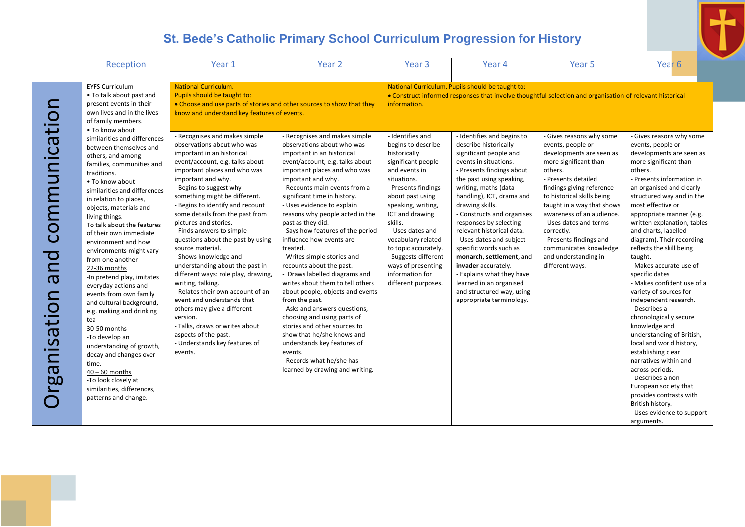

|                                                                                                                                                                                                      | Reception                                                                                                                                                                                                                                                                                                                                                                                                                                                                                                                                                                                                                                                                                                       | Year 1                                                                                                                                                                                                                                                                                                                                                                                                                                                                                                                                                                                                                                                                                                            | Year <sub>2</sub>                                                                                                                                                                                                                                                                                                                                                                                                                                                                                                                                                                                                                                                                                                                                                                     | Year <sub>3</sub>                                                                                                                                                                                                                                                                                                           | Year 4                                                                                                                                                                                                                                                                                                                                                                                                                                                                                          | Year <sub>5</sub>                                                                                                                                                                                                                                                                                                                                 | Year <sub>6</sub>                                                                                                                                                                                                                                                                                                                                                                                                                                                                                                                                                                                                                                                                                                                                                                              |
|------------------------------------------------------------------------------------------------------------------------------------------------------------------------------------------------------|-----------------------------------------------------------------------------------------------------------------------------------------------------------------------------------------------------------------------------------------------------------------------------------------------------------------------------------------------------------------------------------------------------------------------------------------------------------------------------------------------------------------------------------------------------------------------------------------------------------------------------------------------------------------------------------------------------------------|-------------------------------------------------------------------------------------------------------------------------------------------------------------------------------------------------------------------------------------------------------------------------------------------------------------------------------------------------------------------------------------------------------------------------------------------------------------------------------------------------------------------------------------------------------------------------------------------------------------------------------------------------------------------------------------------------------------------|---------------------------------------------------------------------------------------------------------------------------------------------------------------------------------------------------------------------------------------------------------------------------------------------------------------------------------------------------------------------------------------------------------------------------------------------------------------------------------------------------------------------------------------------------------------------------------------------------------------------------------------------------------------------------------------------------------------------------------------------------------------------------------------|-----------------------------------------------------------------------------------------------------------------------------------------------------------------------------------------------------------------------------------------------------------------------------------------------------------------------------|-------------------------------------------------------------------------------------------------------------------------------------------------------------------------------------------------------------------------------------------------------------------------------------------------------------------------------------------------------------------------------------------------------------------------------------------------------------------------------------------------|---------------------------------------------------------------------------------------------------------------------------------------------------------------------------------------------------------------------------------------------------------------------------------------------------------------------------------------------------|------------------------------------------------------------------------------------------------------------------------------------------------------------------------------------------------------------------------------------------------------------------------------------------------------------------------------------------------------------------------------------------------------------------------------------------------------------------------------------------------------------------------------------------------------------------------------------------------------------------------------------------------------------------------------------------------------------------------------------------------------------------------------------------------|
|                                                                                                                                                                                                      |                                                                                                                                                                                                                                                                                                                                                                                                                                                                                                                                                                                                                                                                                                                 |                                                                                                                                                                                                                                                                                                                                                                                                                                                                                                                                                                                                                                                                                                                   |                                                                                                                                                                                                                                                                                                                                                                                                                                                                                                                                                                                                                                                                                                                                                                                       |                                                                                                                                                                                                                                                                                                                             |                                                                                                                                                                                                                                                                                                                                                                                                                                                                                                 |                                                                                                                                                                                                                                                                                                                                                   |                                                                                                                                                                                                                                                                                                                                                                                                                                                                                                                                                                                                                                                                                                                                                                                                |
| რ<br>ე                                                                                                                                                                                               | <b>EYFS Curriculum</b><br>• To talk about past and<br>present events in their<br>own lives and in the lives<br>of family members.<br>• To know about<br>similarities and differences                                                                                                                                                                                                                                                                                                                                                                                                                                                                                                                            | <b>National Curriculum.</b><br>Pupils should be taught to:<br>• Choose and use parts of stories and other sources to show that they<br>know and understand key features of events.<br>- Recognises and makes simple<br>observations about who was                                                                                                                                                                                                                                                                                                                                                                                                                                                                 | - Recognises and makes simple<br>observations about who was                                                                                                                                                                                                                                                                                                                                                                                                                                                                                                                                                                                                                                                                                                                           | information.<br>- Identifies and<br>begins to describe                                                                                                                                                                                                                                                                      | National Curriculum. Pupils should be taught to:<br>• Construct informed responses that involve thoughtful selection and organisation of relevant historical<br>- Identifies and begins to<br>describe historically                                                                                                                                                                                                                                                                             | - Gives reasons why some<br>events, people or                                                                                                                                                                                                                                                                                                     | - Gives reasons why some<br>events, people or                                                                                                                                                                                                                                                                                                                                                                                                                                                                                                                                                                                                                                                                                                                                                  |
| juni<br>E<br>CO<br>$\boldsymbol{\sigma}$<br>$\overline{\mathsf{O}}$<br>ٮ<br>$\boldsymbol{\sigma}$<br>$\mathbf{v}$<br>$\overline{\phantom{0}}$<br>$\mathbf \Xi$<br>$\boldsymbol{\sigma}$<br><b>b0</b> | between themselves and<br>others, and among<br>families, communities and<br>traditions.<br>. To know about<br>similarities and differences<br>in relation to places,<br>objects, materials and<br>living things.<br>To talk about the features<br>of their own immediate<br>environment and how<br>environments might vary<br>from one another<br>22-36 months<br>-In pretend play, imitates<br>everyday actions and<br>events from own family<br>and cultural background,<br>e.g. making and drinking<br>tea<br>30-50 months<br>-To develop an<br>understanding of growth,<br>decay and changes over<br>time.<br>$40 - 60$ months<br>-To look closely at<br>similarities, differences,<br>patterns and change. | important in an historical<br>event/account, e.g. talks about<br>important places and who was<br>important and why.<br>- Begins to suggest why<br>something might be different.<br>- Begins to identify and recount<br>some details from the past from<br>pictures and stories.<br>- Finds answers to simple<br>questions about the past by using<br>source material.<br>- Shows knowledge and<br>understanding about the past in<br>different ways: role play, drawing,<br>writing, talking.<br>- Relates their own account of an<br>event and understands that<br>others may give a different<br>version.<br>- Talks, draws or writes about<br>aspects of the past.<br>- Understands key features of<br>events. | important in an historical<br>event/account, e.g. talks about<br>important places and who was<br>important and why.<br>- Recounts main events from a<br>significant time in history.<br>- Uses evidence to explain<br>reasons why people acted in the<br>past as they did.<br>- Says how features of the period<br>influence how events are<br>treated.<br>- Writes simple stories and<br>recounts about the past.<br>- Draws labelled diagrams and<br>writes about them to tell others<br>about people, objects and events<br>from the past.<br>- Asks and answers questions,<br>choosing and using parts of<br>stories and other sources to<br>show that he/she knows and<br>understands key features of<br>events.<br>- Records what he/she has<br>learned by drawing and writing. | historically<br>significant people<br>and events in<br>situations.<br>- Presents findings<br>about past using<br>speaking, writing,<br>ICT and drawing<br>skills.<br>- Uses dates and<br>vocabulary related<br>to topic accurately.<br>- Suggests different<br>ways of presenting<br>information for<br>different purposes. | significant people and<br>events in situations.<br>- Presents findings about<br>the past using speaking,<br>writing, maths (data<br>handling), ICT, drama and<br>drawing skills.<br>- Constructs and organises<br>responses by selecting<br>relevant historical data.<br>- Uses dates and subject<br>specific words such as<br>monarch, settlement, and<br>invader accurately.<br>- Explains what they have<br>learned in an organised<br>and structured way, using<br>appropriate terminology. | developments are seen as<br>more significant than<br>others.<br>- Presents detailed<br>findings giving reference<br>to historical skills being<br>taught in a way that shows<br>awareness of an audience.<br>- Uses dates and terms<br>correctly.<br>- Presents findings and<br>communicates knowledge<br>and understanding in<br>different ways. | developments are seen as<br>more significant than<br>others.<br>- Presents information in<br>an organised and clearly<br>structured way and in the<br>most effective or<br>appropriate manner (e.g.<br>written explanation, tables<br>and charts, labelled<br>diagram). Their recording<br>reflects the skill being<br>taught.<br>- Makes accurate use of<br>specific dates.<br>- Makes confident use of a<br>variety of sources for<br>independent research.<br>- Describes a<br>chronologically secure<br>knowledge and<br>understanding of British,<br>local and world history,<br>establishing clear<br>narratives within and<br>across periods.<br>- Describes a non-<br>European society that<br>provides contrasts with<br>British history.<br>- Uses evidence to support<br>arguments. |